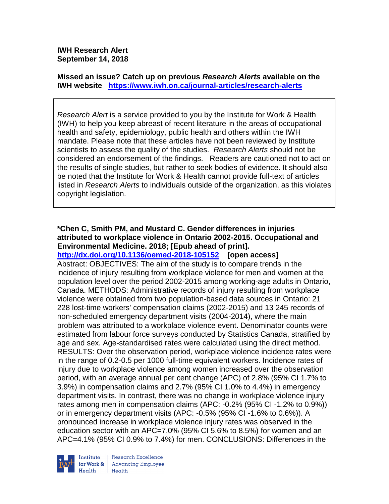**IWH Research Alert September 14, 2018**

**Missed an issue? Catch up on previous** *Research Alerts* **available on the [IWH website](http://www.iwh.on.ca/research-alerts) <https://www.iwh.on.ca/journal-articles/research-alerts>**

*Research Alert* is a service provided to you by the Institute for Work & Health (IWH) to help you keep abreast of recent literature in the areas of occupational health and safety, epidemiology, public health and others within the IWH mandate. Please note that these articles have not been reviewed by Institute scientists to assess the quality of the studies. *Research Alerts* should not be considered an endorsement of the findings. Readers are cautioned not to act on the results of single studies, but rather to seek bodies of evidence. It should also be noted that the Institute for Work & Health cannot provide full-text of articles listed in *Research Alerts* to individuals outside of the organization, as this violates copyright legislation.

# **\*Chen C, Smith PM, and Mustard C. Gender differences in injuries attributed to workplace violence in Ontario 2002-2015. Occupational and Environmental Medicine. 2018; [Epub ahead of print].**

**<http://dx.doi.org/10.1136/oemed-2018-105152>[open access]** Abstract: OBJECTIVES: The aim of the study is to compare trends in the incidence of injury resulting from workplace violence for men and women at the population level over the period 2002-2015 among working-age adults in Ontario, Canada. METHODS: Administrative records of injury resulting from workplace violence were obtained from two population-based data sources in Ontario: 21 228 lost-time workers' compensation claims (2002-2015) and 13 245 records of non-scheduled emergency department visits (2004-2014), where the main problem was attributed to a workplace violence event. Denominator counts were estimated from labour force surveys conducted by Statistics Canada, stratified by age and sex. Age-standardised rates were calculated using the direct method. RESULTS: Over the observation period, workplace violence incidence rates were in the range of 0.2-0.5 per 1000 full-time equivalent workers. Incidence rates of injury due to workplace violence among women increased over the observation period, with an average annual per cent change (APC) of 2.8% (95% CI 1.7% to 3.9%) in compensation claims and 2.7% (95% CI 1.0% to 4.4%) in emergency department visits. In contrast, there was no change in workplace violence injury rates among men in compensation claims (APC: -0.2% (95% CI -1.2% to 0.9%)) or in emergency department visits (APC: -0.5% (95% CI -1.6% to 0.6%)). A pronounced increase in workplace violence injury rates was observed in the education sector with an APC=7.0% (95% CI 5.6% to 8.5%) for women and an APC=4.1% (95% CI 0.9% to 7.4%) for men. CONCLUSIONS: Differences in the



Research Excellence **Advancing Employee** Health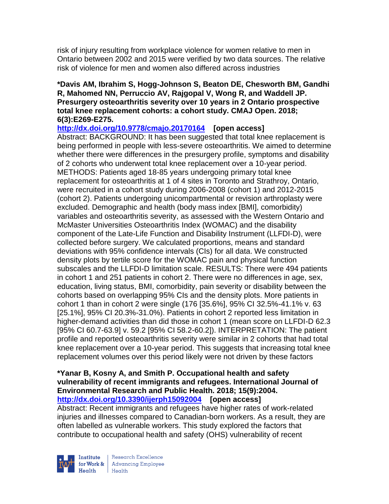risk of injury resulting from workplace violence for women relative to men in Ontario between 2002 and 2015 were verified by two data sources. The relative risk of violence for men and women also differed across industries

## **\*Davis AM, Ibrahim S, Hogg-Johnson S, Beaton DE, Chesworth BM, Gandhi R, Mahomed NN, Perruccio AV, Rajgopal V, Wong R, and Waddell JP. Presurgery osteoarthritis severity over 10 years in 2 Ontario prospective total knee replacement cohorts: a cohort study. CMAJ Open. 2018; 6(3):E269-E275.**

**<http://dx.doi.org/10.9778/cmajo.20170164>[open access]**

Abstract: BACKGROUND: It has been suggested that total knee replacement is being performed in people with less-severe osteoarthritis. We aimed to determine whether there were differences in the presurgery profile, symptoms and disability of 2 cohorts who underwent total knee replacement over a 10-year period. METHODS: Patients aged 18-85 years undergoing primary total knee replacement for osteoarthritis at 1 of 4 sites in Toronto and Strathroy, Ontario, were recruited in a cohort study during 2006-2008 (cohort 1) and 2012-2015 (cohort 2). Patients undergoing unicompartmental or revision arthroplasty were excluded. Demographic and health (body mass index [BMI], comorbidity) variables and osteoarthritis severity, as assessed with the Western Ontario and McMaster Universities Osteoarthritis Index (WOMAC) and the disability component of the Late-Life Function and Disability Instrument (LLFDI-D), were collected before surgery. We calculated proportions, means and standard deviations with 95% confidence intervals (CIs) for all data. We constructed density plots by tertile score for the WOMAC pain and physical function subscales and the LLFDI-D limitation scale. RESULTS: There were 494 patients in cohort 1 and 251 patients in cohort 2. There were no differences in age, sex, education, living status, BMI, comorbidity, pain severity or disability between the cohorts based on overlapping 95% CIs and the density plots. More patients in cohort 1 than in cohort 2 were single (176 [35.6%], 95% CI 32.5%-41.1% v. 63 [25.1%], 95% CI 20.3%-31.0%). Patients in cohort 2 reported less limitation in higher-demand activities than did those in cohort 1 (mean score on LLFDI-D 62.3 [95% CI 60.7-63.9] v. 59.2 [95% CI 58.2-60.2]). INTERPRETATION: The patient profile and reported osteoarthritis severity were similar in 2 cohorts that had total knee replacement over a 10-year period. This suggests that increasing total knee replacement volumes over this period likely were not driven by these factors

#### **\*Yanar B, Kosny A, and Smith P. Occupational health and safety vulnerability of recent immigrants and refugees. International Journal of Environmental Research and Public Health. 2018; 15(9):2004. <http://dx.doi.org/10.3390/ijerph15092004>[open access]**

Abstract: Recent immigrants and refugees have higher rates of work-related injuries and illnesses compared to Canadian-born workers. As a result, they are often labelled as vulnerable workers. This study explored the factors that contribute to occupational health and safety (OHS) vulnerability of recent



Research Excellence for Work & | Advancing Employee Health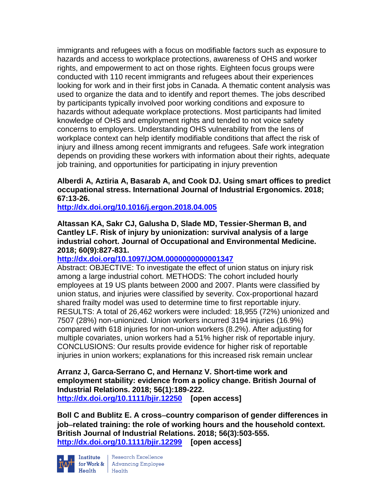immigrants and refugees with a focus on modifiable factors such as exposure to hazards and access to workplace protections, awareness of OHS and worker rights, and empowerment to act on those rights. Eighteen focus groups were conducted with 110 recent immigrants and refugees about their experiences looking for work and in their first jobs in Canada. A thematic content analysis was used to organize the data and to identify and report themes. The jobs described by participants typically involved poor working conditions and exposure to hazards without adequate workplace protections. Most participants had limited knowledge of OHS and employment rights and tended to not voice safety concerns to employers. Understanding OHS vulnerability from the lens of workplace context can help identify modifiable conditions that affect the risk of injury and illness among recent immigrants and refugees. Safe work integration depends on providing these workers with information about their rights, adequate job training, and opportunities for participating in injury prevention

## **Alberdi A, Aztiria A, Basarab A, and Cook DJ. Using smart offices to predict occupational stress. International Journal of Industrial Ergonomics. 2018; 67:13-26.**

**<http://dx.doi.org/10.1016/j.ergon.2018.04.005>**

## **Altassan KA, Sakr CJ, Galusha D, Slade MD, Tessier-Sherman B, and Cantley LF. Risk of injury by unionization: survival analysis of a large industrial cohort. Journal of Occupational and Environmental Medicine. 2018; 60(9):827-831.**

# **<http://dx.doi.org/10.1097/JOM.0000000000001347>**

Abstract: OBJECTIVE: To investigate the effect of union status on injury risk among a large industrial cohort. METHODS: The cohort included hourly employees at 19 US plants between 2000 and 2007. Plants were classified by union status, and injuries were classified by severity. Cox-proportional hazard shared frailty model was used to determine time to first reportable injury. RESULTS: A total of 26,462 workers were included: 18,955 (72%) unionized and 7507 (28%) non-unionized. Union workers incurred 3194 injuries (16.9%) compared with 618 injuries for non-union workers (8.2%). After adjusting for multiple covariates, union workers had a 51% higher risk of reportable injury. CONCLUSIONS: Our results provide evidence for higher risk of reportable injuries in union workers; explanations for this increased risk remain unclear

**Arranz J, Garca-Serrano C, and Hernanz V. Short-time work and employment stability: evidence from a policy change. British Journal of Industrial Relations. 2018; 56(1):189-222. <http://dx.doi.org/10.1111/bjir.12250>[open access]**

**Boll C and Bublitz E. A cross**−**country comparison of gender differences in job**−**related training: the role of working hours and the household context. British Journal of Industrial Relations. 2018; 56(3):503-555. <http://dx.doi.org/10.1111/bjir.12299>[open access]**



Institute Research Excellence<br>for Work & Advancing Employee<br>Health Health Health Health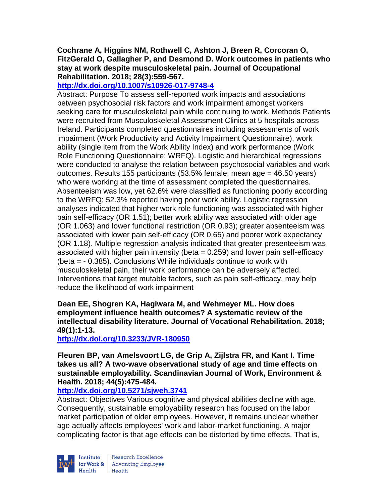# **Cochrane A, Higgins NM, Rothwell C, Ashton J, Breen R, Corcoran O, FitzGerald O, Gallagher P, and Desmond D. Work outcomes in patients who stay at work despite musculoskeletal pain. Journal of Occupational Rehabilitation. 2018; 28(3):559-567.**

**<http://dx.doi.org/10.1007/s10926-017-9748-4>**

Abstract: Purpose To assess self-reported work impacts and associations between psychosocial risk factors and work impairment amongst workers seeking care for musculoskeletal pain while continuing to work. Methods Patients were recruited from Musculoskeletal Assessment Clinics at 5 hospitals across Ireland. Participants completed questionnaires including assessments of work impairment (Work Productivity and Activity Impairment Questionnaire), work ability (single item from the Work Ability Index) and work performance (Work Role Functioning Questionnaire; WRFQ). Logistic and hierarchical regressions were conducted to analyse the relation between psychosocial variables and work outcomes. Results 155 participants (53.5% female; mean age = 46.50 years) who were working at the time of assessment completed the questionnaires. Absenteeism was low, yet 62.6% were classified as functioning poorly according to the WRFQ; 52.3% reported having poor work ability. Logistic regression analyses indicated that higher work role functioning was associated with higher pain self-efficacy (OR 1.51); better work ability was associated with older age (OR 1.063) and lower functional restriction (OR 0.93); greater absenteeism was associated with lower pain self-efficacy (OR 0.65) and poorer work expectancy (OR 1.18). Multiple regression analysis indicated that greater presenteeism was associated with higher pain intensity (beta = 0.259) and lower pain self-efficacy (beta = - 0.385). Conclusions While individuals continue to work with musculoskeletal pain, their work performance can be adversely affected. Interventions that target mutable factors, such as pain self-efficacy, may help reduce the likelihood of work impairment

**Dean EE, Shogren KA, Hagiwara M, and Wehmeyer ML. How does employment influence health outcomes? A systematic review of the intellectual disability literature. Journal of Vocational Rehabilitation. 2018; 49(1):1-13.** 

**<http://dx.doi.org/10.3233/JVR-180950>**

**Fleuren BP, van Amelsvoort LG, de Grip A, Zijlstra FR, and Kant I. Time takes us all? A two-wave observational study of age and time effects on sustainable employability. Scandinavian Journal of Work, Environment & Health. 2018; 44(5):475-484.** 

# **<http://dx.doi.org/10.5271/sjweh.3741>**

Abstract: Objectives Various cognitive and physical abilities decline with age. Consequently, sustainable employability research has focused on the labor market participation of older employees. However, it remains unclear whether age actually affects employees' work and labor-market functioning. A major complicating factor is that age effects can be distorted by time effects. That is,

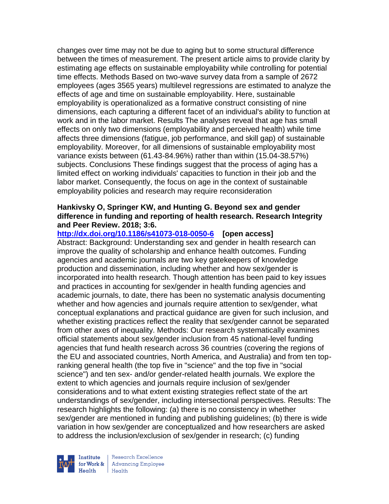changes over time may not be due to aging but to some structural difference between the times of measurement. The present article aims to provide clarity by estimating age effects on sustainable employability while controlling for potential time effects. Methods Based on two-wave survey data from a sample of 2672 employees (ages 3565 years) multilevel regressions are estimated to analyze the effects of age and time on sustainable employability. Here, sustainable employability is operationalized as a formative construct consisting of nine dimensions, each capturing a different facet of an individual's ability to function at work and in the labor market. Results The analyses reveal that age has small effects on only two dimensions (employability and perceived health) while time affects three dimensions (fatigue, job performance, and skill gap) of sustainable employability. Moreover, for all dimensions of sustainable employability most variance exists between (61.43-84.96%) rather than within (15.04-38.57%) subjects. Conclusions These findings suggest that the process of aging has a limited effect on working individuals' capacities to function in their job and the labor market. Consequently, the focus on age in the context of sustainable employability policies and research may require reconsideration

#### **Hankivsky O, Springer KW, and Hunting G. Beyond sex and gender difference in funding and reporting of health research. Research Integrity and Peer Review. 2018; 3:6.**

**<http://dx.doi.org/10.1186/s41073-018-0050-6>[open access]** Abstract: Background: Understanding sex and gender in health research can improve the quality of scholarship and enhance health outcomes. Funding agencies and academic journals are two key gatekeepers of knowledge production and dissemination, including whether and how sex/gender is incorporated into health research. Though attention has been paid to key issues and practices in accounting for sex/gender in health funding agencies and academic journals, to date, there has been no systematic analysis documenting whether and how agencies and journals require attention to sex/gender, what conceptual explanations and practical guidance are given for such inclusion, and whether existing practices reflect the reality that sex/gender cannot be separated from other axes of inequality. Methods: Our research systematically examines official statements about sex/gender inclusion from 45 national-level funding agencies that fund health research across 36 countries (covering the regions of the EU and associated countries, North America, and Australia) and from ten topranking general health (the top five in "science" and the top five in "social science") and ten sex- and/or gender-related health journals. We explore the extent to which agencies and journals require inclusion of sex/gender considerations and to what extent existing strategies reflect state of the art understandings of sex/gender, including intersectional perspectives. Results: The research highlights the following: (a) there is no consistency in whether sex/gender are mentioned in funding and publishing guidelines; (b) there is wide variation in how sex/gender are conceptualized and how researchers are asked to address the inclusion/exclusion of sex/gender in research; (c) funding



Research Excellence for Work & | Advancing Employee  $H_{\text{eath}}$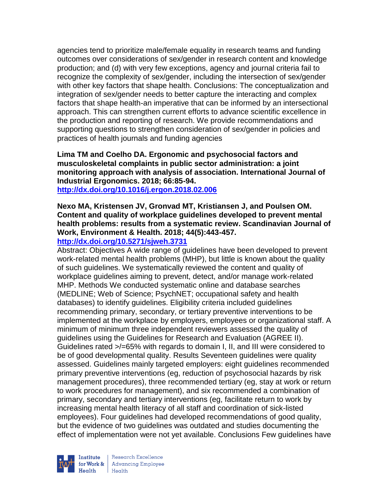agencies tend to prioritize male/female equality in research teams and funding outcomes over considerations of sex/gender in research content and knowledge production; and (d) with very few exceptions, agency and journal criteria fail to recognize the complexity of sex/gender, including the intersection of sex/gender with other key factors that shape health. Conclusions: The conceptualization and integration of sex/gender needs to better capture the interacting and complex factors that shape health-an imperative that can be informed by an intersectional approach. This can strengthen current efforts to advance scientific excellence in the production and reporting of research. We provide recommendations and supporting questions to strengthen consideration of sex/gender in policies and practices of health journals and funding agencies

**Lima TM and Coelho DA. Ergonomic and psychosocial factors and musculoskeletal complaints in public sector administration: a joint monitoring approach with analysis of association. International Journal of Industrial Ergonomics. 2018; 66:85-94. <http://dx.doi.org/10.1016/j.ergon.2018.02.006>**

# **Nexo MA, Kristensen JV, Gronvad MT, Kristiansen J, and Poulsen OM. Content and quality of workplace guidelines developed to prevent mental health problems: results from a systematic review. Scandinavian Journal of Work, Environment & Health. 2018; 44(5):443-457.**

# **<http://dx.doi.org/10.5271/sjweh.3731>**

Abstract: Objectives A wide range of guidelines have been developed to prevent work-related mental health problems (MHP), but little is known about the quality of such guidelines. We systematically reviewed the content and quality of workplace guidelines aiming to prevent, detect, and/or manage work-related MHP. Methods We conducted systematic online and database searches (MEDLINE; Web of Science; PsychNET; occupational safety and health databases) to identify guidelines. Eligibility criteria included guidelines recommending primary, secondary, or tertiary preventive interventions to be implemented at the workplace by employers, employees or organizational staff. A minimum of minimum three independent reviewers assessed the quality of guidelines using the Guidelines for Research and Evaluation (AGREE II). Guidelines rated >/=65% with regards to domain I, II, and III were considered to be of good developmental quality. Results Seventeen guidelines were quality assessed. Guidelines mainly targeted employers: eight guidelines recommended primary preventive interventions (eg, reduction of psychosocial hazards by risk management procedures), three recommended tertiary (eg, stay at work or return to work procedures for management), and six recommended a combination of primary, secondary and tertiary interventions (eg, facilitate return to work by increasing mental health literacy of all staff and coordination of sick-listed employees). Four guidelines had developed recommendations of good quality, but the evidence of two guidelines was outdated and studies documenting the effect of implementation were not yet available. Conclusions Few guidelines have



Research Excellence **Institute** Research Excellence<br> **For Work &**<br>
Marth Harlth Harlth  $H_{\text{eath}}$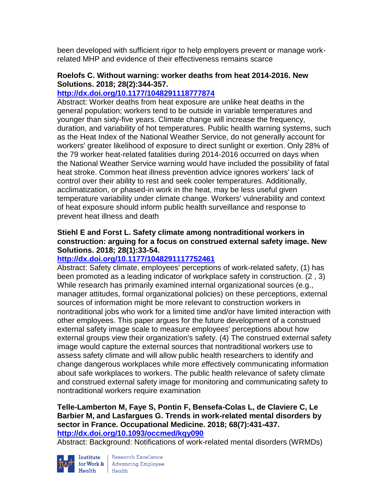been developed with sufficient rigor to help employers prevent or manage workrelated MHP and evidence of their effectiveness remains scarce

## **Roelofs C. Without warning: worker deaths from heat 2014-2016. New Solutions. 2018; 28(2):344-357.**

# **<http://dx.doi.org/10.1177/1048291118777874>**

Abstract: Worker deaths from heat exposure are unlike heat deaths in the general population; workers tend to be outside in variable temperatures and younger than sixty-five years. Climate change will increase the frequency, duration, and variability of hot temperatures. Public health warning systems, such as the Heat Index of the National Weather Service, do not generally account for workers' greater likelihood of exposure to direct sunlight or exertion. Only 28% of the 79 worker heat-related fatalities during 2014-2016 occurred on days when the National Weather Service warning would have included the possibility of fatal heat stroke. Common heat illness prevention advice ignores workers' lack of control over their ability to rest and seek cooler temperatures. Additionally, acclimatization, or phased-in work in the heat, may be less useful given temperature variability under climate change. Workers' vulnerability and context of heat exposure should inform public health surveillance and response to prevent heat illness and death

## **Stiehl E and Forst L. Safety climate among nontraditional workers in construction: arguing for a focus on construed external safety image. New Solutions. 2018; 28(1):33-54.**

# **<http://dx.doi.org/10.1177/1048291117752461>**

Abstract: Safety climate, employees' perceptions of work-related safety, (1) has been promoted as a leading indicator of workplace safety in construction. (2 , 3) While research has primarily examined internal organizational sources (e.g., manager attitudes, formal organizational policies) on these perceptions, external sources of information might be more relevant to construction workers in nontraditional jobs who work for a limited time and/or have limited interaction with other employees. This paper argues for the future development of a construed external safety image scale to measure employees' perceptions about how external groups view their organization's safety. (4) The construed external safety image would capture the external sources that nontraditional workers use to assess safety climate and will allow public health researchers to identify and change dangerous workplaces while more effectively communicating information about safe workplaces to workers. The public health relevance of safety climate and construed external safety image for monitoring and communicating safety to nontraditional workers require examination

#### **Telle-Lamberton M, Faye S, Pontin F, Bensefa-Colas L, de Claviere C, Le Barbier M, and Lasfargues G. Trends in work-related mental disorders by sector in France. Occupational Medicine. 2018; 68(7):431-437. <http://dx.doi.org/10.1093/occmed/kqy090>**

Abstract: Background: Notifications of work-related mental disorders (WRMDs)



Institute Research Excellence<br>
for Work & Advancing Employee<br>
Health Health